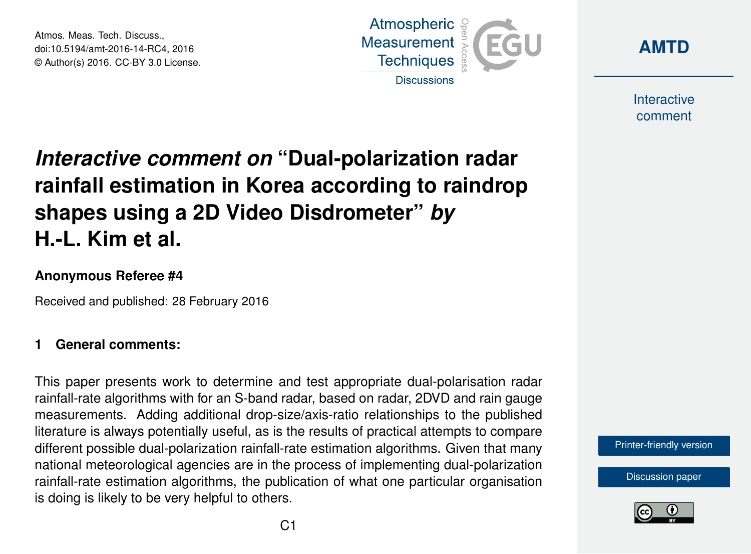Atmos. Meas. Tech. Discuss., doi:10.5194/amt-2016-14-RC4, 2016 © Author(s) 2016. CC-BY 3.0 License.





Interactive comment

# *Interactive comment on* **"Dual-polarization radar rainfall estimation in Korea according to raindrop shapes using a 2D Video Disdrometer"** *by* **H.-L. Kim et al.**

### **Anonymous Referee #4**

Received and published: 28 February 2016

## **1 General comments:**

This paper presents work to determine and test appropriate dual-polarisation radar rainfall-rate algorithms with for an S-band radar, based on radar, 2DVD and rain gauge measurements. Adding additional drop-size/axis-ratio relationships to the published literature is always potentially useful, as is the results of practical attempts to compare different possible dual-polarization rainfall-rate estimation algorithms. Given that many national meteorological agencies are in the process of implementing dual-polarization rainfall-rate estimation algorithms, the publication of what one particular organisation is doing is likely to be very helpful to others.

[Printer-friendly version](http://www.atmos-meas-tech-discuss.net/amt-2016-14/amt-2016-14-RC4-print.pdf)

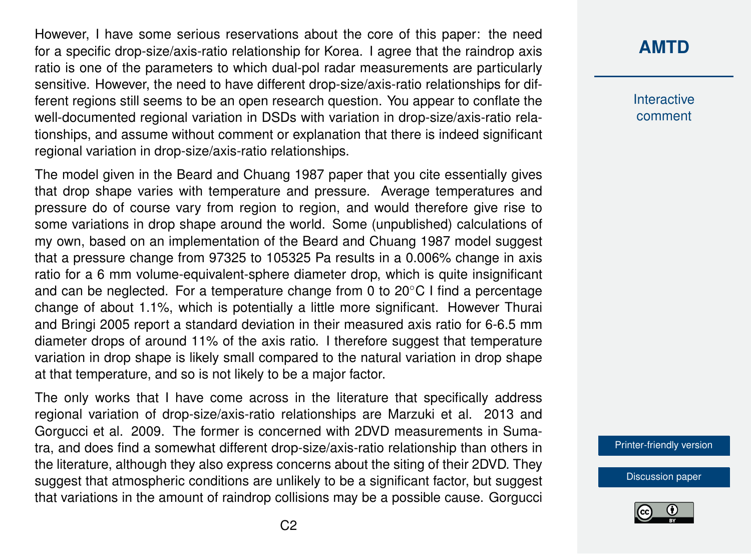However, I have some serious reservations about the core of this paper: the need for a specific drop-size/axis-ratio relationship for Korea. I agree that the raindrop axis ratio is one of the parameters to which dual-pol radar measurements are particularly sensitive. However, the need to have different drop-size/axis-ratio relationships for different regions still seems to be an open research question. You appear to conflate the well-documented regional variation in DSDs with variation in drop-size/axis-ratio relationships, and assume without comment or explanation that there is indeed significant regional variation in drop-size/axis-ratio relationships.

The model given in the Beard and Chuang 1987 paper that you cite essentially gives that drop shape varies with temperature and pressure. Average temperatures and pressure do of course vary from region to region, and would therefore give rise to some variations in drop shape around the world. Some (unpublished) calculations of my own, based on an implementation of the Beard and Chuang 1987 model suggest that a pressure change from 97325 to 105325 Pa results in a 0.006% change in axis ratio for a 6 mm volume-equivalent-sphere diameter drop, which is quite insignificant and can be neglected. For a temperature change from 0 to 20◦C I find a percentage change of about 1.1%, which is potentially a little more significant. However Thurai and Bringi 2005 report a standard deviation in their measured axis ratio for 6-6.5 mm diameter drops of around 11% of the axis ratio. I therefore suggest that temperature variation in drop shape is likely small compared to the natural variation in drop shape at that temperature, and so is not likely to be a major factor.

The only works that I have come across in the literature that specifically address regional variation of drop-size/axis-ratio relationships are Marzuki et al. 2013 and Gorgucci et al. 2009. The former is concerned with 2DVD measurements in Sumatra, and does find a somewhat different drop-size/axis-ratio relationship than others in the literature, although they also express concerns about the siting of their 2DVD. They suggest that atmospheric conditions are unlikely to be a significant factor, but suggest that variations in the amount of raindrop collisions may be a possible cause. Gorgucci

## **[AMTD](http://www.atmos-meas-tech-discuss.net/)**

Interactive comment

[Printer-friendly version](http://www.atmos-meas-tech-discuss.net/amt-2016-14/amt-2016-14-RC4-print.pdf)

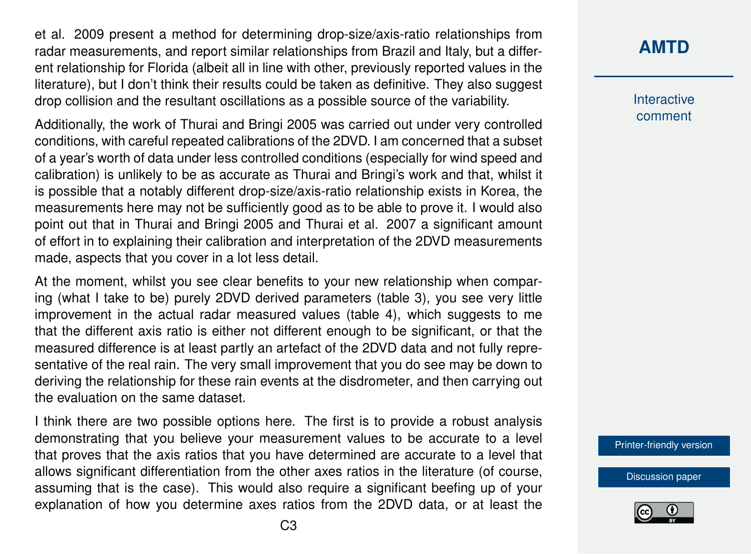et al. 2009 present a method for determining drop-size/axis-ratio relationships from radar measurements, and report similar relationships from Brazil and Italy, but a different relationship for Florida (albeit all in line with other, previously reported values in the literature), but I don't think their results could be taken as definitive. They also suggest drop collision and the resultant oscillations as a possible source of the variability.

Additionally, the work of Thurai and Bringi 2005 was carried out under very controlled conditions, with careful repeated calibrations of the 2DVD. I am concerned that a subset of a year's worth of data under less controlled conditions (especially for wind speed and calibration) is unlikely to be as accurate as Thurai and Bringi's work and that, whilst it is possible that a notably different drop-size/axis-ratio relationship exists in Korea, the measurements here may not be sufficiently good as to be able to prove it. I would also point out that in Thurai and Bringi 2005 and Thurai et al. 2007 a significant amount of effort in to explaining their calibration and interpretation of the 2DVD measurements made, aspects that you cover in a lot less detail.

At the moment, whilst you see clear benefits to your new relationship when comparing (what I take to be) purely 2DVD derived parameters (table 3), you see very little improvement in the actual radar measured values (table 4), which suggests to me that the different axis ratio is either not different enough to be significant, or that the measured difference is at least partly an artefact of the 2DVD data and not fully representative of the real rain. The very small improvement that you do see may be down to deriving the relationship for these rain events at the disdrometer, and then carrying out the evaluation on the same dataset.

I think there are two possible options here. The first is to provide a robust analysis demonstrating that you believe your measurement values to be accurate to a level that proves that the axis ratios that you have determined are accurate to a level that allows significant differentiation from the other axes ratios in the literature (of course, assuming that is the case). This would also require a significant beefing up of your explanation of how you determine axes ratios from the 2DVD data, or at least the

Interactive comment

[Printer-friendly version](http://www.atmos-meas-tech-discuss.net/amt-2016-14/amt-2016-14-RC4-print.pdf)

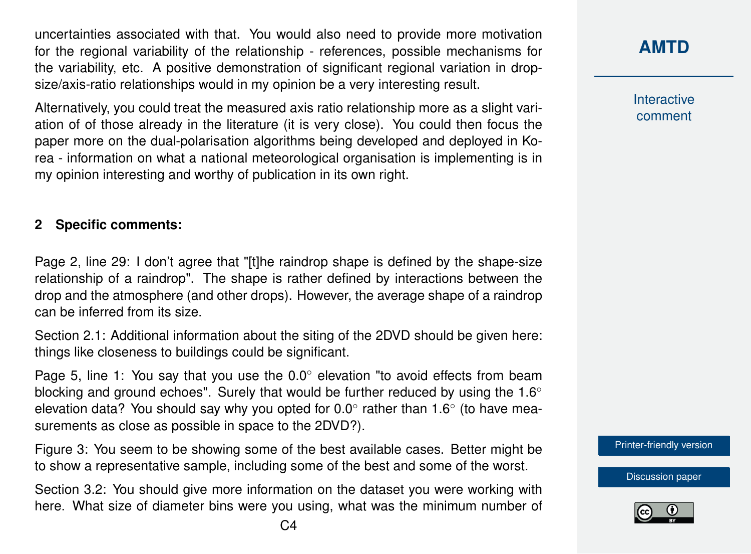uncertainties associated with that. You would also need to provide more motivation for the regional variability of the relationship - references, possible mechanisms for the variability, etc. A positive demonstration of significant regional variation in dropsize/axis-ratio relationships would in my opinion be a very interesting result.

Alternatively, you could treat the measured axis ratio relationship more as a slight variation of of those already in the literature (it is very close). You could then focus the paper more on the dual-polarisation algorithms being developed and deployed in Korea - information on what a national meteorological organisation is implementing is in my opinion interesting and worthy of publication in its own right.

#### **2 Specific comments:**

Page 2, line 29: I don't agree that "[t]he raindrop shape is defined by the shape-size relationship of a raindrop". The shape is rather defined by interactions between the drop and the atmosphere (and other drops). However, the average shape of a raindrop can be inferred from its size.

Section 2.1: Additional information about the siting of the 2DVD should be given here: things like closeness to buildings could be significant.

Page 5, line 1: You say that you use the 0.0° elevation "to avoid effects from beam blocking and ground echoes". Surely that would be further reduced by using the  $1.6°$ elevation data? You should say why you opted for 0.0 $^{\circ}$  rather than 1.6 $^{\circ}$  (to have measurements as close as possible in space to the 2DVD?).

Figure 3: You seem to be showing some of the best available cases. Better might be to show a representative sample, including some of the best and some of the worst.

Section 3.2: You should give more information on the dataset you were working with here. What size of diameter bins were you using, what was the minimum number of Interactive comment

[Printer-friendly version](http://www.atmos-meas-tech-discuss.net/amt-2016-14/amt-2016-14-RC4-print.pdf)

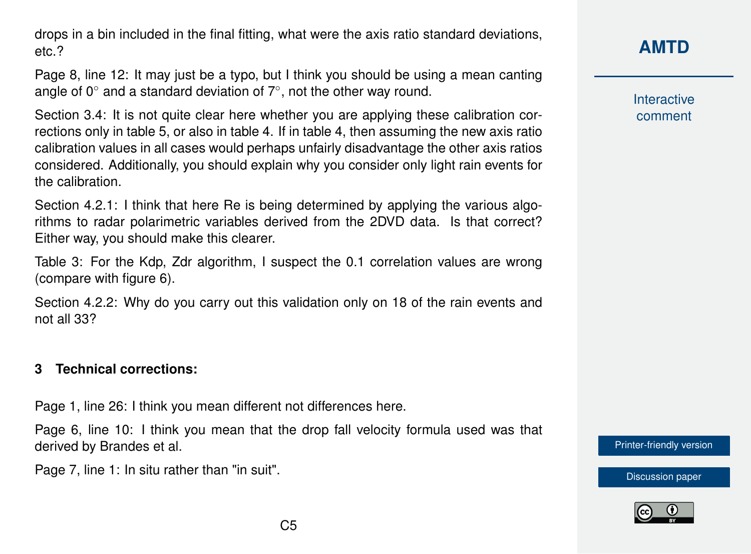drops in a bin included in the final fitting, what were the axis ratio standard deviations, etc.?

Page 8, line 12: It may just be a typo, but I think you should be using a mean canting angle of 0 $^{\circ}$  and a standard deviation of 7 $^{\circ}$ , not the other way round.

Section 3.4: It is not quite clear here whether you are applying these calibration corrections only in table 5, or also in table 4. If in table 4, then assuming the new axis ratio calibration values in all cases would perhaps unfairly disadvantage the other axis ratios considered. Additionally, you should explain why you consider only light rain events for the calibration.

Section 4.2.1: I think that here Re is being determined by applying the various algorithms to radar polarimetric variables derived from the 2DVD data. Is that correct? Either way, you should make this clearer.

Table 3: For the Kdp, Zdr algorithm, I suspect the 0.1 correlation values are wrong (compare with figure 6).

Section 4.2.2: Why do you carry out this validation only on 18 of the rain events and not all 33?

#### **3 Technical corrections:**

Page 1, line 26: I think you mean different not differences here.

Page 6, line 10: I think you mean that the drop fall velocity formula used was that derived by Brandes et al.

Page 7, line 1: In situ rather than "in suit".

Interactive comment

[Printer-friendly version](http://www.atmos-meas-tech-discuss.net/amt-2016-14/amt-2016-14-RC4-print.pdf)